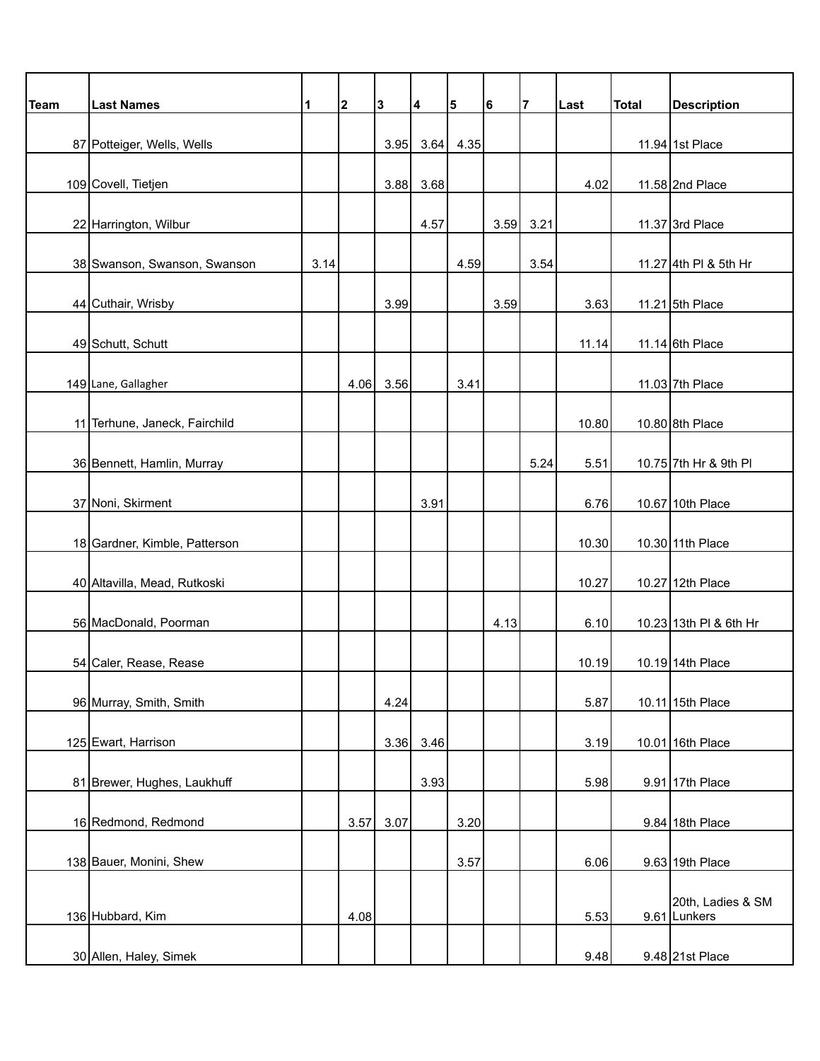| Team | <b>Last Names</b>             | 1    | $\overline{\mathbf{2}}$ | 3    | 4    | 5    | 6    | 7    | Last  | Total | <b>Description</b>                |
|------|-------------------------------|------|-------------------------|------|------|------|------|------|-------|-------|-----------------------------------|
|      | 87 Potteiger, Wells, Wells    |      |                         | 3.95 | 3.64 | 4.35 |      |      |       |       | 11.94 1st Place                   |
|      |                               |      |                         |      |      |      |      |      |       |       |                                   |
|      | 109 Covell, Tietjen           |      |                         | 3.88 | 3.68 |      |      |      | 4.02  |       | 11.58 2nd Place                   |
|      | 22 Harrington, Wilbur         |      |                         |      | 4.57 |      | 3.59 | 3.21 |       |       | 11.37 3rd Place                   |
|      | 38 Swanson, Swanson, Swanson  | 3.14 |                         |      |      | 4.59 |      | 3.54 |       |       | 11.27 4th PI & 5th Hr             |
|      | 44 Cuthair, Wrisby            |      |                         | 3.99 |      |      | 3.59 |      | 3.63  |       | 11.21 5th Place                   |
|      |                               |      |                         |      |      |      |      |      |       |       |                                   |
|      | 49 Schutt, Schutt             |      |                         |      |      |      |      |      | 11.14 |       | 11.14 6th Place                   |
|      | 149 Lane, Gallagher           |      | 4.06                    | 3.56 |      | 3.41 |      |      |       |       | 11.03 7th Place                   |
|      | 11 Terhune, Janeck, Fairchild |      |                         |      |      |      |      |      | 10.80 |       | 10.80 8th Place                   |
|      | 36 Bennett, Hamlin, Murray    |      |                         |      |      |      |      | 5.24 | 5.51  |       | 10.75 7th Hr & 9th PI             |
|      | 37 Noni, Skirment             |      |                         |      | 3.91 |      |      |      | 6.76  |       | 10.67 10th Place                  |
|      | 18 Gardner, Kimble, Patterson |      |                         |      |      |      |      |      | 10.30 |       | 10.30 11th Place                  |
|      |                               |      |                         |      |      |      |      |      |       |       |                                   |
|      | 40 Altavilla, Mead, Rutkoski  |      |                         |      |      |      |      |      | 10.27 |       | 10.27 12th Place                  |
|      | 56 MacDonald, Poorman         |      |                         |      |      |      | 4.13 |      | 6.10  |       | 10.23 13th PI & 6th Hr            |
|      | 54 Caler, Rease, Rease        |      |                         |      |      |      |      |      | 10.19 |       | 10.19 14th Place                  |
|      | 96 Murray, Smith, Smith       |      |                         | 4.24 |      |      |      |      | 5.87  |       | 10.11 15th Place                  |
|      | 125 Ewart, Harrison           |      |                         | 3.36 | 3.46 |      |      |      | 3.19  |       | 10.01 16th Place                  |
|      | 81 Brewer, Hughes, Laukhuff   |      |                         |      | 3.93 |      |      |      | 5.98  |       | 9.91 17th Place                   |
|      | 16 Redmond, Redmond           |      | 3.57                    | 3.07 |      | 3.20 |      |      |       |       | 9.84 18th Place                   |
|      | 138 Bauer, Monini, Shew       |      |                         |      |      | 3.57 |      |      | 6.06  |       | 9.63 19th Place                   |
|      |                               |      |                         |      |      |      |      |      |       |       |                                   |
|      | 136 Hubbard, Kim              |      | 4.08                    |      |      |      |      |      | 5.53  |       | 20th, Ladies & SM<br>9.61 Lunkers |
|      |                               |      |                         |      |      |      |      |      |       |       |                                   |
|      | 30 Allen, Haley, Simek        |      |                         |      |      |      |      |      | 9.48  |       | 9.48 21st Place                   |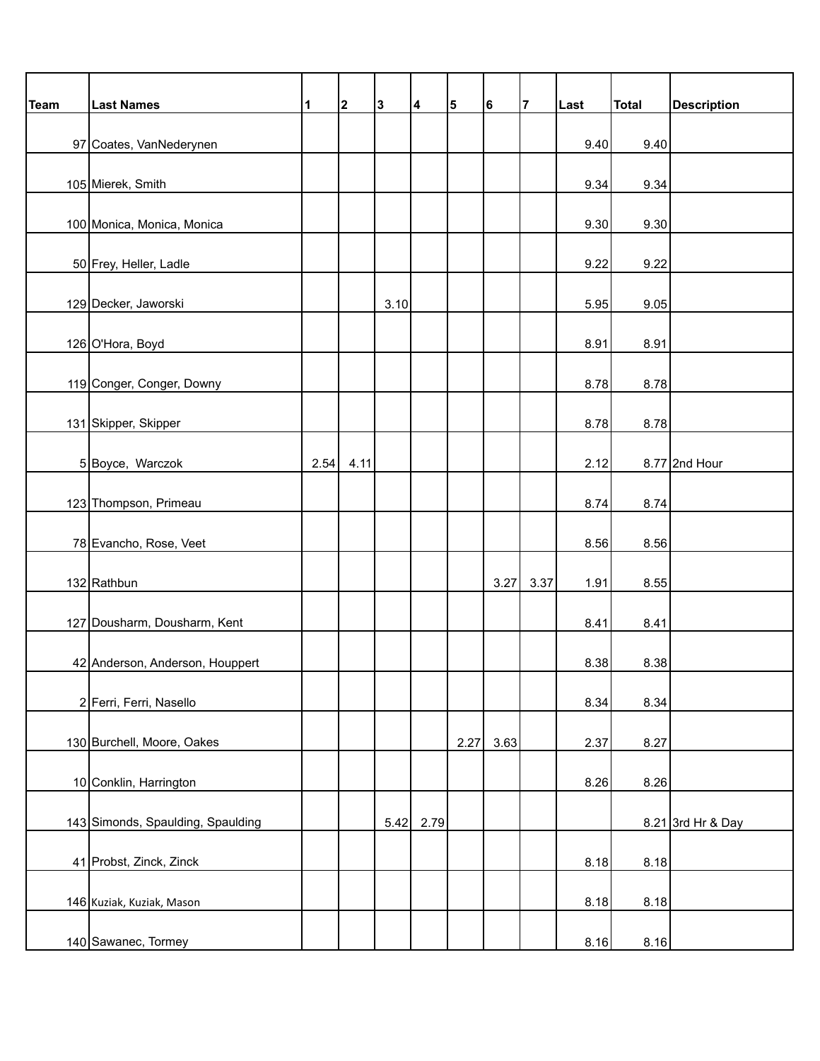| <b>Team</b> | <b>Last Names</b>                 | 1    | 2    | 3    | 4    | 5    | 6    | $\overline{\mathbf{r}}$ | Last | <b>Total</b> | <b>Description</b> |
|-------------|-----------------------------------|------|------|------|------|------|------|-------------------------|------|--------------|--------------------|
|             |                                   |      |      |      |      |      |      |                         |      |              |                    |
|             | 97 Coates, VanNederynen           |      |      |      |      |      |      |                         | 9.40 | 9.40         |                    |
|             |                                   |      |      |      |      |      |      |                         |      |              |                    |
|             | 105 Mierek, Smith                 |      |      |      |      |      |      |                         | 9.34 | 9.34         |                    |
|             | 100 Monica, Monica, Monica        |      |      |      |      |      |      |                         | 9.30 | 9.30         |                    |
|             |                                   |      |      |      |      |      |      |                         |      |              |                    |
|             | 50 Frey, Heller, Ladle            |      |      |      |      |      |      |                         | 9.22 | 9.22         |                    |
|             | 129 Decker, Jaworski              |      |      | 3.10 |      |      |      |                         | 5.95 | 9.05         |                    |
|             |                                   |      |      |      |      |      |      |                         |      |              |                    |
|             | 126 O'Hora, Boyd                  |      |      |      |      |      |      |                         | 8.91 | 8.91         |                    |
|             | 119 Conger, Conger, Downy         |      |      |      |      |      |      |                         |      | 8.78         |                    |
|             |                                   |      |      |      |      |      |      |                         | 8.78 |              |                    |
|             | 131 Skipper, Skipper              |      |      |      |      |      |      |                         | 8.78 | 8.78         |                    |
|             |                                   |      |      |      |      |      |      |                         |      |              |                    |
|             | 5 Boyce, Warczok                  | 2.54 | 4.11 |      |      |      |      |                         | 2.12 |              | $8.77$ 2nd Hour    |
|             | 123 Thompson, Primeau             |      |      |      |      |      |      |                         | 8.74 | 8.74         |                    |
|             | 78 Evancho, Rose, Veet            |      |      |      |      |      |      |                         | 8.56 | 8.56         |                    |
|             |                                   |      |      |      |      |      |      |                         |      |              |                    |
|             | 132 Rathbun                       |      |      |      |      |      | 3.27 | 3.37                    | 1.91 | 8.55         |                    |
|             | 127 Dousharm, Dousharm, Kent      |      |      |      |      |      |      |                         | 8.41 | 8.41         |                    |
|             |                                   |      |      |      |      |      |      |                         |      |              |                    |
|             | 42 Anderson, Anderson, Houppert   |      |      |      |      |      |      |                         | 8.38 | 8.38         |                    |
|             | 2 Ferri, Ferri, Nasello           |      |      |      |      |      |      |                         | 8.34 | 8.34         |                    |
|             |                                   |      |      |      |      |      |      |                         |      |              |                    |
|             | 130 Burchell, Moore, Oakes        |      |      |      |      | 2.27 | 3.63 |                         | 2.37 | 8.27         |                    |
|             | 10 Conklin, Harrington            |      |      |      |      |      |      |                         | 8.26 | 8.26         |                    |
|             |                                   |      |      |      |      |      |      |                         |      |              |                    |
|             | 143 Simonds, Spaulding, Spaulding |      |      | 5.42 | 2.79 |      |      |                         |      |              | 8.21 3rd Hr & Day  |
|             | 41 Probst, Zinck, Zinck           |      |      |      |      |      |      |                         | 8.18 | 8.18         |                    |
|             |                                   |      |      |      |      |      |      |                         |      |              |                    |
|             | 146 Kuziak, Kuziak, Mason         |      |      |      |      |      |      |                         | 8.18 | 8.18         |                    |
|             | 140 Sawanec, Tormey               |      |      |      |      |      |      |                         | 8.16 | 8.16         |                    |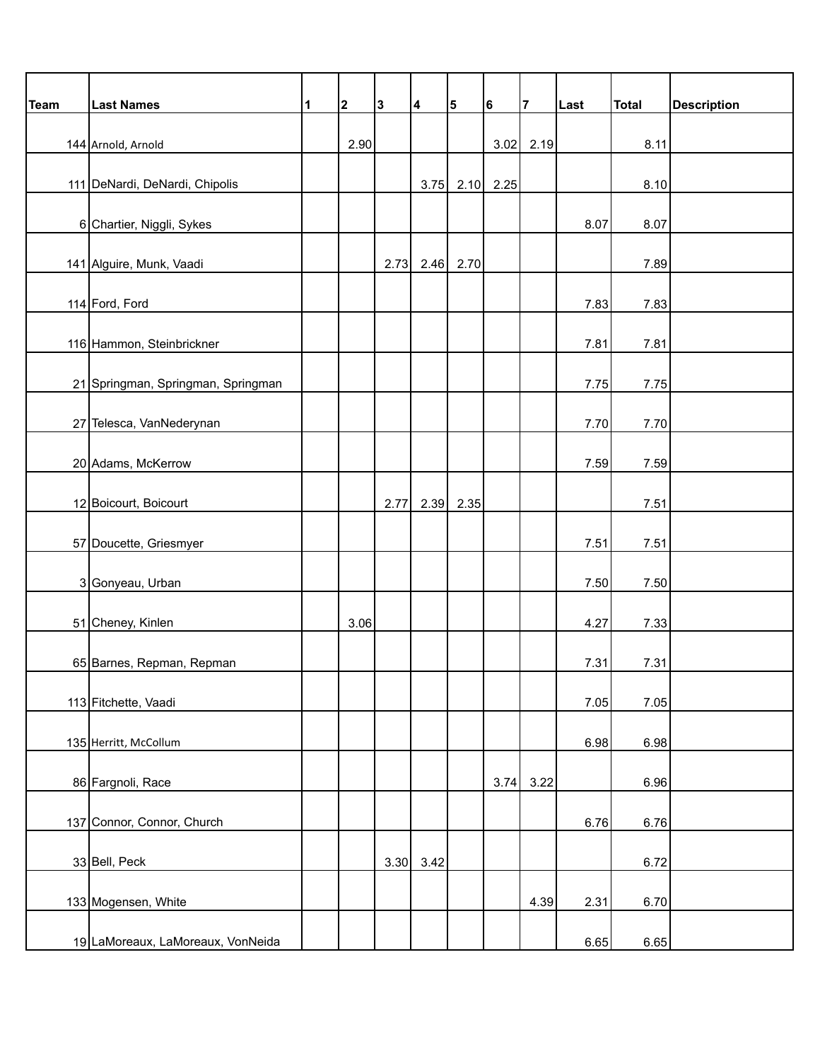| Team | <b>Last Names</b>                  | 1 | $\overline{\mathbf{2}}$ | 3    | 4    | 5    | 6    | $\overline{7}$ | Last | Total | <b>Description</b> |
|------|------------------------------------|---|-------------------------|------|------|------|------|----------------|------|-------|--------------------|
|      |                                    |   |                         |      |      |      |      |                |      |       |                    |
|      | 144 Arnold, Arnold                 |   | 2.90                    |      |      |      | 3.02 | 2.19           |      | 8.11  |                    |
|      | 111 DeNardi, DeNardi, Chipolis     |   |                         |      | 3.75 | 2.10 | 2.25 |                |      | 8.10  |                    |
|      | 6 Chartier, Niggli, Sykes          |   |                         |      |      |      |      |                | 8.07 |       |                    |
|      |                                    |   |                         |      |      |      |      |                |      | 8.07  |                    |
|      | 141 Alguire, Munk, Vaadi           |   |                         | 2.73 | 2.46 | 2.70 |      |                |      | 7.89  |                    |
|      | 114 Ford, Ford                     |   |                         |      |      |      |      |                | 7.83 | 7.83  |                    |
|      | 116 Hammon, Steinbrickner          |   |                         |      |      |      |      |                | 7.81 | 7.81  |                    |
|      | 21 Springman, Springman, Springman |   |                         |      |      |      |      |                | 7.75 | 7.75  |                    |
|      | 27 Telesca, VanNederynan           |   |                         |      |      |      |      |                | 7.70 | 7.70  |                    |
|      | 20 Adams, McKerrow                 |   |                         |      |      |      |      |                | 7.59 | 7.59  |                    |
|      | 12 Boicourt, Boicourt              |   |                         | 2.77 | 2.39 | 2.35 |      |                |      | 7.51  |                    |
|      | 57 Doucette, Griesmyer             |   |                         |      |      |      |      |                | 7.51 | 7.51  |                    |
|      | 3 Gonyeau, Urban                   |   |                         |      |      |      |      |                | 7.50 | 7.50  |                    |
|      | 51 Cheney, Kinlen                  |   | 3.06                    |      |      |      |      |                | 4.27 | 7.33  |                    |
|      | 65 Barnes, Repman, Repman          |   |                         |      |      |      |      |                | 7.31 | 7.31  |                    |
|      | 113 Fitchette, Vaadi               |   |                         |      |      |      |      |                | 7.05 | 7.05  |                    |
|      | 135 Herritt, McCollum              |   |                         |      |      |      |      |                | 6.98 | 6.98  |                    |
|      |                                    |   |                         |      |      |      |      |                |      |       |                    |
|      | 86 Fargnoli, Race                  |   |                         |      |      |      | 3.74 | 3.22           |      | 6.96  |                    |
|      | 137 Connor, Connor, Church         |   |                         |      |      |      |      |                | 6.76 | 6.76  |                    |
|      | 33 Bell, Peck                      |   |                         | 3.30 | 3.42 |      |      |                |      | 6.72  |                    |
|      | 133 Mogensen, White                |   |                         |      |      |      |      | 4.39           | 2.31 | 6.70  |                    |
|      | 19 LaMoreaux, LaMoreaux, VonNeida  |   |                         |      |      |      |      |                | 6.65 | 6.65  |                    |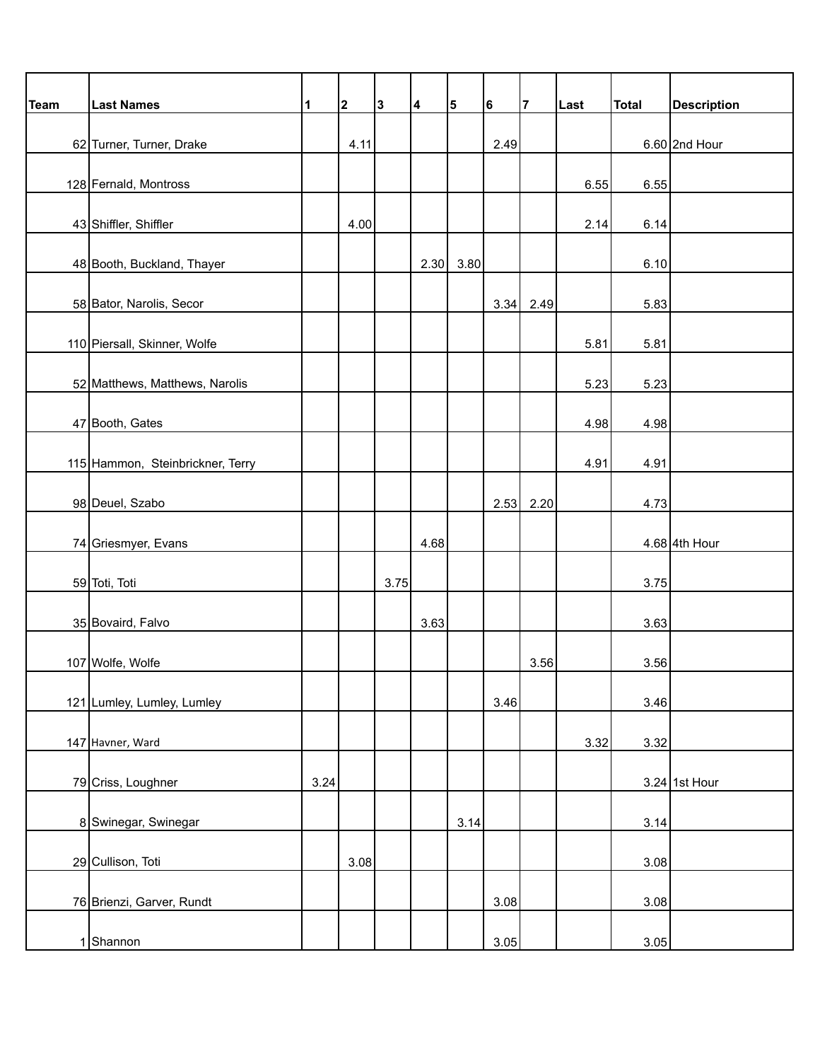| Team | <b>Last Names</b>                | $\vert$ 1 | $\overline{\mathbf{2}}$ | 3    | 4    | 5    | 6      | $\overline{7}$ | Last | Total | <b>Description</b> |
|------|----------------------------------|-----------|-------------------------|------|------|------|--------|----------------|------|-------|--------------------|
|      |                                  |           |                         |      |      |      |        |                |      |       |                    |
|      | 62 Turner, Turner, Drake         |           | 4.11                    |      |      |      | 2.49   |                |      |       | $6.60$ 2nd Hour    |
|      | 128 Fernald, Montross            |           |                         |      |      |      |        |                | 6.55 | 6.55  |                    |
|      |                                  |           |                         |      |      |      |        |                |      |       |                    |
|      | 43 Shiffler, Shiffler            |           | 4.00                    |      |      |      |        |                | 2.14 | 6.14  |                    |
|      | 48 Booth, Buckland, Thayer       |           |                         |      | 2.30 | 3.80 |        |                |      | 6.10  |                    |
|      |                                  |           |                         |      |      |      |        |                |      |       |                    |
|      | 58 Bator, Narolis, Secor         |           |                         |      |      |      | 3.34   | 2.49           |      | 5.83  |                    |
|      | 110 Piersall, Skinner, Wolfe     |           |                         |      |      |      |        |                | 5.81 | 5.81  |                    |
|      |                                  |           |                         |      |      |      |        |                |      |       |                    |
|      | 52 Matthews, Matthews, Narolis   |           |                         |      |      |      |        |                | 5.23 | 5.23  |                    |
|      | 47 Booth, Gates                  |           |                         |      |      |      |        |                | 4.98 | 4.98  |                    |
|      |                                  |           |                         |      |      |      |        |                |      |       |                    |
|      | 115 Hammon, Steinbrickner, Terry |           |                         |      |      |      |        |                | 4.91 | 4.91  |                    |
|      | 98 Deuel, Szabo                  |           |                         |      |      |      | 2.53   | 2.20           |      | 4.73  |                    |
|      |                                  |           |                         |      |      |      |        |                |      |       |                    |
|      | 74 Griesmyer, Evans              |           |                         |      | 4.68 |      |        |                |      |       | 4.68 4th Hour      |
|      | 59 Toti, Toti                    |           |                         | 3.75 |      |      |        |                |      | 3.75  |                    |
|      |                                  |           |                         |      |      |      |        |                |      |       |                    |
|      | 35 Bovaird, Falvo                |           |                         |      | 3.63 |      |        |                |      | 3.63  |                    |
|      | 107 Wolfe, Wolfe                 |           |                         |      |      |      |        | 3.56           |      | 3.56  |                    |
|      |                                  |           |                         |      |      |      |        |                |      |       |                    |
|      | 121 Lumley, Lumley, Lumley       |           |                         |      |      |      | 3.46   |                |      | 3.46  |                    |
|      | 147 Havner, Ward                 |           |                         |      |      |      |        |                | 3.32 | 3.32  |                    |
|      |                                  |           |                         |      |      |      |        |                |      |       |                    |
|      | 79 Criss, Loughner               | 3.24      |                         |      |      |      |        |                |      |       | $3.24$ 1st Hour    |
|      | 8 Swinegar, Swinegar             |           |                         |      |      | 3.14 |        |                |      | 3.14  |                    |
|      |                                  |           |                         |      |      |      |        |                |      |       |                    |
|      | 29 Cullison, Toti                |           | 3.08                    |      |      |      |        |                |      | 3.08  |                    |
|      | 76 Brienzi, Garver, Rundt        |           |                         |      |      |      | 3.08   |                |      | 3.08  |                    |
|      |                                  |           |                         |      |      |      |        |                |      |       |                    |
|      | 1 Shannon                        |           |                         |      |      |      | $3.05$ |                |      | 3.05  |                    |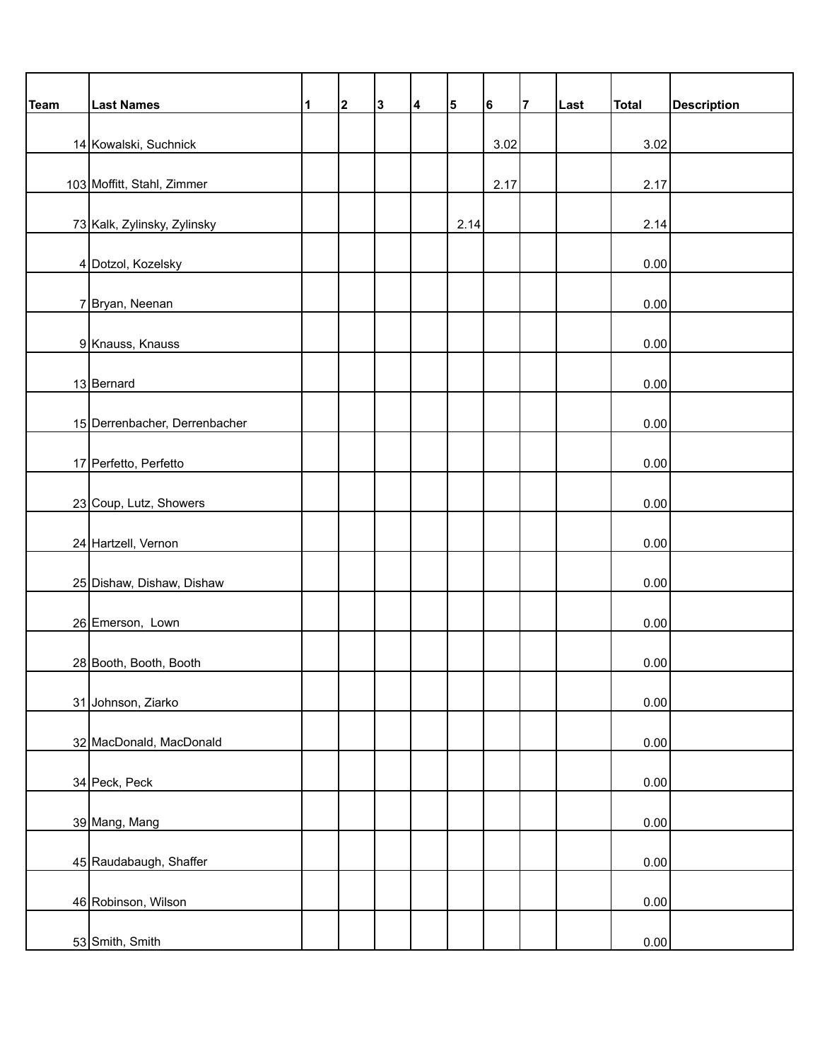| Team | <b>Last Names</b>             | 1 | 2 | 3 | 4 | 5    | 6    | 7 | Last | Total | <b>Description</b> |
|------|-------------------------------|---|---|---|---|------|------|---|------|-------|--------------------|
|      |                               |   |   |   |   |      |      |   |      |       |                    |
|      | 14 Kowalski, Suchnick         |   |   |   |   |      | 3.02 |   |      | 3.02  |                    |
|      | 103 Moffitt, Stahl, Zimmer    |   |   |   |   |      | 2.17 |   |      | 2.17  |                    |
|      |                               |   |   |   |   |      |      |   |      |       |                    |
|      | 73 Kalk, Zylinsky, Zylinsky   |   |   |   |   | 2.14 |      |   |      | 2.14  |                    |
|      | 4 Dotzol, Kozelsky            |   |   |   |   |      |      |   |      | 0.00  |                    |
|      | 7 Bryan, Neenan               |   |   |   |   |      |      |   |      | 0.00  |                    |
|      | 9 Knauss, Knauss              |   |   |   |   |      |      |   |      | 0.00  |                    |
|      | 13 Bernard                    |   |   |   |   |      |      |   |      | 0.00  |                    |
|      | 15 Derrenbacher, Derrenbacher |   |   |   |   |      |      |   |      | 0.00  |                    |
|      | 17 Perfetto, Perfetto         |   |   |   |   |      |      |   |      | 0.00  |                    |
|      | 23 Coup, Lutz, Showers        |   |   |   |   |      |      |   |      | 0.00  |                    |
|      | 24 Hartzell, Vernon           |   |   |   |   |      |      |   |      | 0.00  |                    |
|      | 25 Dishaw, Dishaw, Dishaw     |   |   |   |   |      |      |   |      | 0.00  |                    |
|      | 26 Emerson, Lown              |   |   |   |   |      |      |   |      | 0.00  |                    |
|      | 28 Booth, Booth, Booth        |   |   |   |   |      |      |   |      | 0.00  |                    |
|      | 31 Johnson, Ziarko            |   |   |   |   |      |      |   |      | 0.00  |                    |
|      | 32 MacDonald, MacDonald       |   |   |   |   |      |      |   |      | 0.00  |                    |
|      | 34 Peck, Peck                 |   |   |   |   |      |      |   |      | 0.00  |                    |
|      | 39 Mang, Mang                 |   |   |   |   |      |      |   |      | 0.00  |                    |
|      | 45 Raudabaugh, Shaffer        |   |   |   |   |      |      |   |      | 0.00  |                    |
|      | 46 Robinson, Wilson           |   |   |   |   |      |      |   |      | 0.00  |                    |
|      | 53 Smith, Smith               |   |   |   |   |      |      |   |      | 0.00  |                    |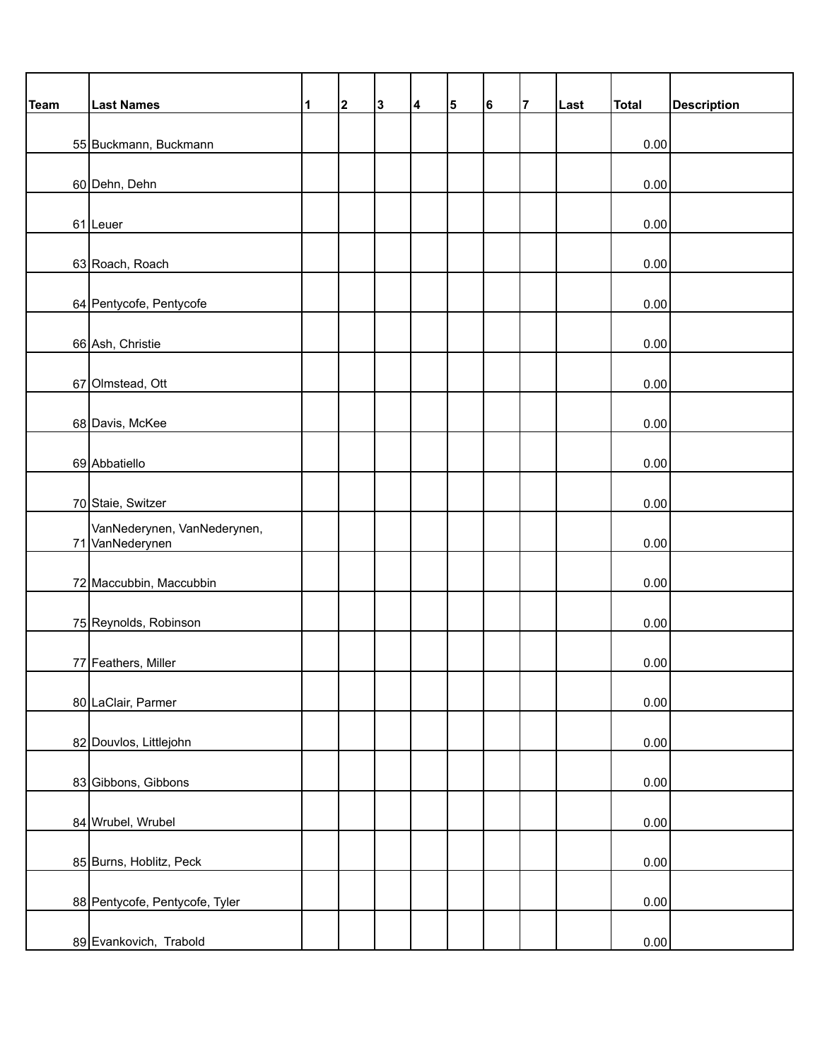| Team | <b>Last Names</b>                              | $\vert$ 1 | 2 | 3 | 4 | 5 | 6 | 7 | Last | Total | <b>Description</b> |
|------|------------------------------------------------|-----------|---|---|---|---|---|---|------|-------|--------------------|
|      |                                                |           |   |   |   |   |   |   |      |       |                    |
|      | 55 Buckmann, Buckmann                          |           |   |   |   |   |   |   |      | 0.00  |                    |
|      |                                                |           |   |   |   |   |   |   |      |       |                    |
|      | 60 Dehn, Dehn                                  |           |   |   |   |   |   |   |      | 0.00  |                    |
|      |                                                |           |   |   |   |   |   |   |      |       |                    |
|      | 61 Leuer                                       |           |   |   |   |   |   |   |      | 0.00  |                    |
|      | 63 Roach, Roach                                |           |   |   |   |   |   |   |      | 0.00  |                    |
|      |                                                |           |   |   |   |   |   |   |      |       |                    |
|      | 64 Pentycofe, Pentycofe                        |           |   |   |   |   |   |   |      | 0.00  |                    |
|      |                                                |           |   |   |   |   |   |   |      |       |                    |
|      | 66 Ash, Christie                               |           |   |   |   |   |   |   |      | 0.00  |                    |
|      | 67 Olmstead, Ott                               |           |   |   |   |   |   |   |      | 0.00  |                    |
|      |                                                |           |   |   |   |   |   |   |      |       |                    |
|      | 68 Davis, McKee                                |           |   |   |   |   |   |   |      | 0.00  |                    |
|      |                                                |           |   |   |   |   |   |   |      |       |                    |
|      | 69 Abbatiello                                  |           |   |   |   |   |   |   |      | 0.00  |                    |
|      | 70 Staie, Switzer                              |           |   |   |   |   |   |   |      | 0.00  |                    |
|      | VanNederynen, VanNederynen,<br>71 VanNederynen |           |   |   |   |   |   |   |      | 0.00  |                    |
|      | 72 Maccubbin, Maccubbin                        |           |   |   |   |   |   |   |      | 0.00  |                    |
|      |                                                |           |   |   |   |   |   |   |      |       |                    |
|      | 75 Reynolds, Robinson                          |           |   |   |   |   |   |   |      | 0.00  |                    |
|      |                                                |           |   |   |   |   |   |   |      |       |                    |
|      | 77 Feathers, Miller                            |           |   |   |   |   |   |   |      | 0.00  |                    |
|      | 80 LaClair, Parmer                             |           |   |   |   |   |   |   |      | 0.00  |                    |
|      |                                                |           |   |   |   |   |   |   |      |       |                    |
|      | 82 Douvlos, Littlejohn                         |           |   |   |   |   |   |   |      | 0.00  |                    |
|      |                                                |           |   |   |   |   |   |   |      |       |                    |
|      | 83 Gibbons, Gibbons                            |           |   |   |   |   |   |   |      | 0.00  |                    |
|      | 84 Wrubel, Wrubel                              |           |   |   |   |   |   |   |      | 0.00  |                    |
|      |                                                |           |   |   |   |   |   |   |      |       |                    |
|      | 85 Burns, Hoblitz, Peck                        |           |   |   |   |   |   |   |      | 0.00  |                    |
|      |                                                |           |   |   |   |   |   |   |      |       |                    |
|      | 88 Pentycofe, Pentycofe, Tyler                 |           |   |   |   |   |   |   |      | 0.00  |                    |
|      | 89 Evankovich, Trabold                         |           |   |   |   |   |   |   |      | 0.00  |                    |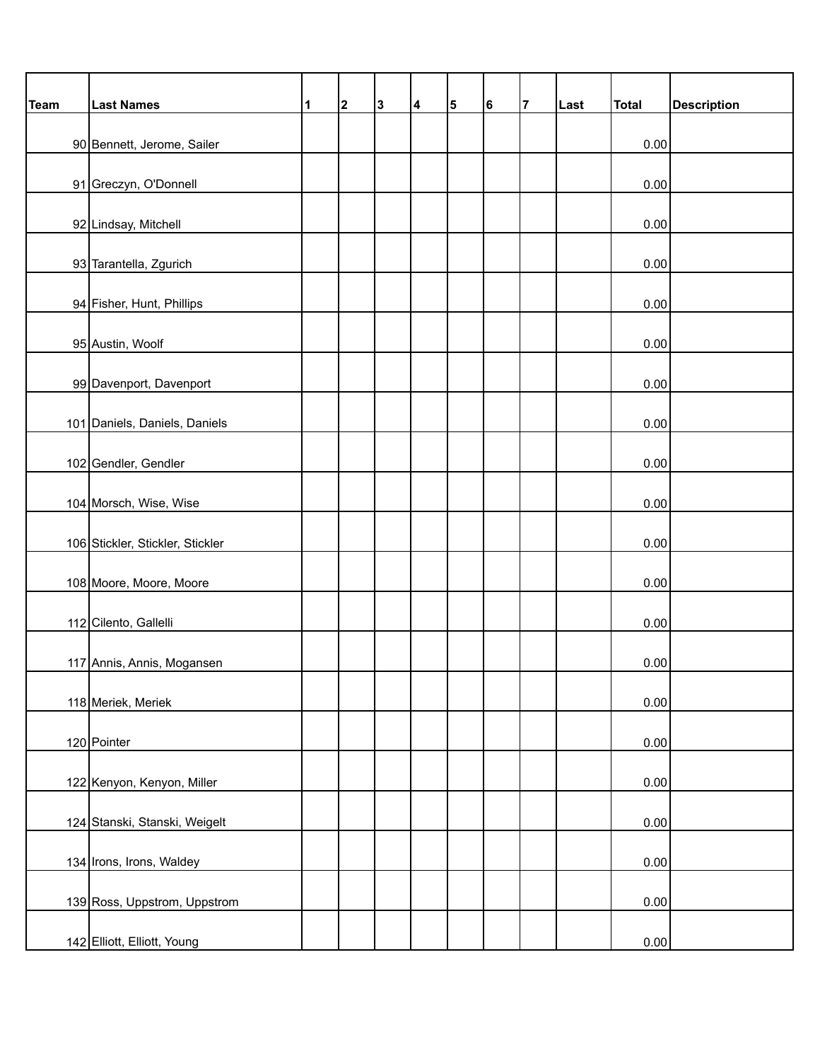| Team | <b>Last Names</b>                | 1 | $\mathbf{2}$ | 3 | 4 | 5 | 6 | 7 | Last | Total | <b>Description</b> |
|------|----------------------------------|---|--------------|---|---|---|---|---|------|-------|--------------------|
|      |                                  |   |              |   |   |   |   |   |      |       |                    |
|      | 90 Bennett, Jerome, Sailer       |   |              |   |   |   |   |   |      | 0.00  |                    |
|      |                                  |   |              |   |   |   |   |   |      |       |                    |
|      | 91 Greczyn, O'Donnell            |   |              |   |   |   |   |   |      | 0.00  |                    |
|      | 92 Lindsay, Mitchell             |   |              |   |   |   |   |   |      | 0.00  |                    |
|      |                                  |   |              |   |   |   |   |   |      |       |                    |
|      | 93 Tarantella, Zgurich           |   |              |   |   |   |   |   |      | 0.00  |                    |
|      | 94 Fisher, Hunt, Phillips        |   |              |   |   |   |   |   |      | 0.00  |                    |
|      | 95 Austin, Woolf                 |   |              |   |   |   |   |   |      | 0.00  |                    |
|      | 99 Davenport, Davenport          |   |              |   |   |   |   |   |      | 0.00  |                    |
|      | 101 Daniels, Daniels, Daniels    |   |              |   |   |   |   |   |      | 0.00  |                    |
|      | 102 Gendler, Gendler             |   |              |   |   |   |   |   |      | 0.00  |                    |
|      | 104 Morsch, Wise, Wise           |   |              |   |   |   |   |   |      | 0.00  |                    |
|      | 106 Stickler, Stickler, Stickler |   |              |   |   |   |   |   |      | 0.00  |                    |
|      | 108 Moore, Moore, Moore          |   |              |   |   |   |   |   |      | 0.00  |                    |
|      | 112 Cilento, Gallelli            |   |              |   |   |   |   |   |      | 0.00  |                    |
|      | 117 Annis, Annis, Mogansen       |   |              |   |   |   |   |   |      | 0.00  |                    |
|      | 118 Meriek, Meriek               |   |              |   |   |   |   |   |      | 0.00  |                    |
|      | 120 Pointer                      |   |              |   |   |   |   |   |      | 0.00  |                    |
|      | 122 Kenyon, Kenyon, Miller       |   |              |   |   |   |   |   |      | 0.00  |                    |
|      | 124 Stanski, Stanski, Weigelt    |   |              |   |   |   |   |   |      | 0.00  |                    |
|      |                                  |   |              |   |   |   |   |   |      |       |                    |
|      | 134 Irons, Irons, Waldey         |   |              |   |   |   |   |   |      | 0.00  |                    |
|      | 139 Ross, Uppstrom, Uppstrom     |   |              |   |   |   |   |   |      | 0.00  |                    |
|      | 142 Elliott, Elliott, Young      |   |              |   |   |   |   |   |      | 0.00  |                    |